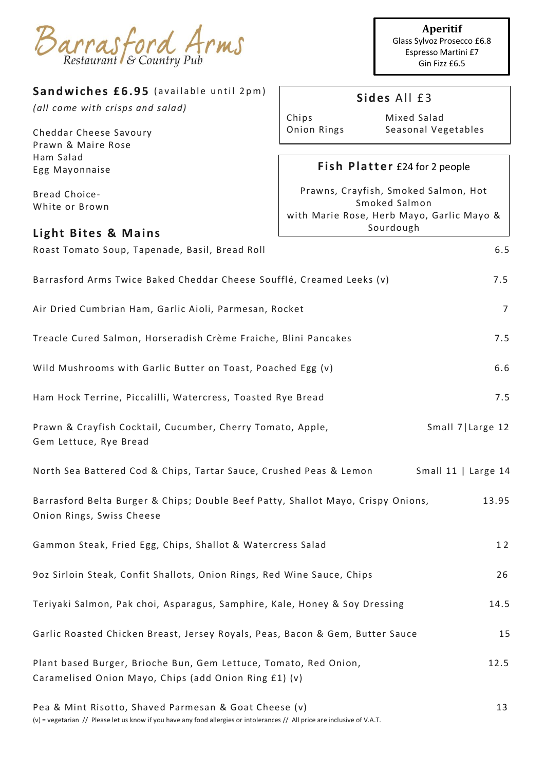